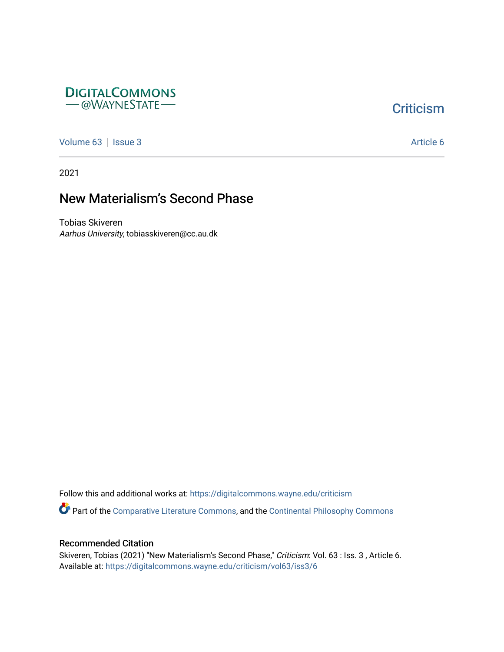

## **Criticism**

[Volume 63](https://digitalcommons.wayne.edu/criticism/vol63) | [Issue 3](https://digitalcommons.wayne.edu/criticism/vol63/iss3) Article 6

2021

# New Materialism's Second Phase

Tobias Skiveren Aarhus University, tobiasskiveren@cc.au.dk

Follow this and additional works at: [https://digitalcommons.wayne.edu/criticism](https://digitalcommons.wayne.edu/criticism?utm_source=digitalcommons.wayne.edu%2Fcriticism%2Fvol63%2Fiss3%2F6&utm_medium=PDF&utm_campaign=PDFCoverPages) 

Part of the [Comparative Literature Commons](http://network.bepress.com/hgg/discipline/454?utm_source=digitalcommons.wayne.edu%2Fcriticism%2Fvol63%2Fiss3%2F6&utm_medium=PDF&utm_campaign=PDFCoverPages), and the [Continental Philosophy Commons](http://network.bepress.com/hgg/discipline/526?utm_source=digitalcommons.wayne.edu%2Fcriticism%2Fvol63%2Fiss3%2F6&utm_medium=PDF&utm_campaign=PDFCoverPages)

#### Recommended Citation

Skiveren, Tobias (2021) "New Materialism's Second Phase," Criticism: Vol. 63 : Iss. 3, Article 6. Available at: [https://digitalcommons.wayne.edu/criticism/vol63/iss3/6](https://digitalcommons.wayne.edu/criticism/vol63/iss3/6?utm_source=digitalcommons.wayne.edu%2Fcriticism%2Fvol63%2Fiss3%2F6&utm_medium=PDF&utm_campaign=PDFCoverPages)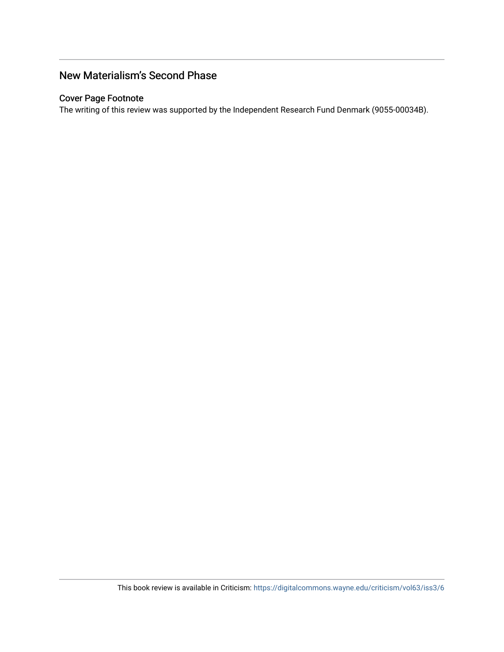## New Materialism's Second Phase

#### Cover Page Footnote

The writing of this review was supported by the Independent Research Fund Denmark (9055-00034B).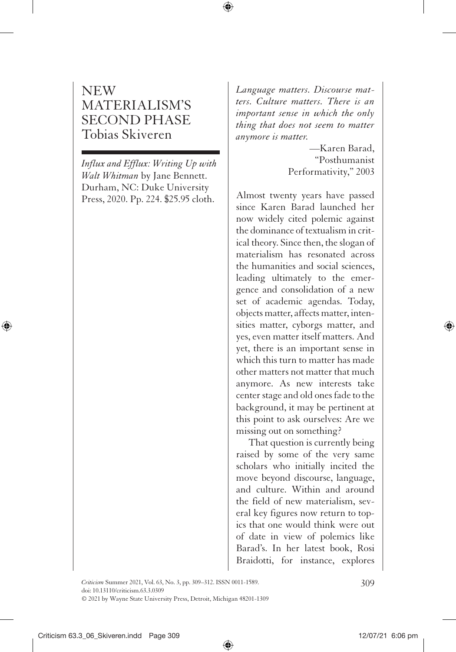### NEW MATERIALISM'S SECOND PHASE Tobias Skiveren

*Influx and Efflux: Writing Up with Walt Whitman* by Jane Bennett. Durham, NC: Duke University Press, 2020. Pp. 224. \$25.95 cloth.

*Language matters. Discourse matters. Culture matters. There is an important sense in which the only thing that does not seem to matter anymore is matter.*

> —Karen Barad, "Posthumanist Performativity," 2003

Almost twenty years have passed since Karen Barad launched her now widely cited polemic against the dominance of textualism in critical theory. Since then, the slogan of materialism has resonated across the humanities and social sciences, leading ultimately to the emergence and consolidation of a new set of academic agendas. Today, objects matter, affects matter, intensities matter, cyborgs matter, and yes, even matter itself matters. And yet, there is an important sense in which this turn to matter has made other matters not matter that much anymore. As new interests take center stage and old ones fade to the background, it may be pertinent at this point to ask ourselves: Are we missing out on something?

That question is currently being raised by some of the very same scholars who initially incited the move beyond discourse, language, and culture. Within and around the field of new materialism, several key figures now return to topics that one would think were out of date in view of polemics like Barad's. In her latest book, Rosi Braidotti, for instance, explores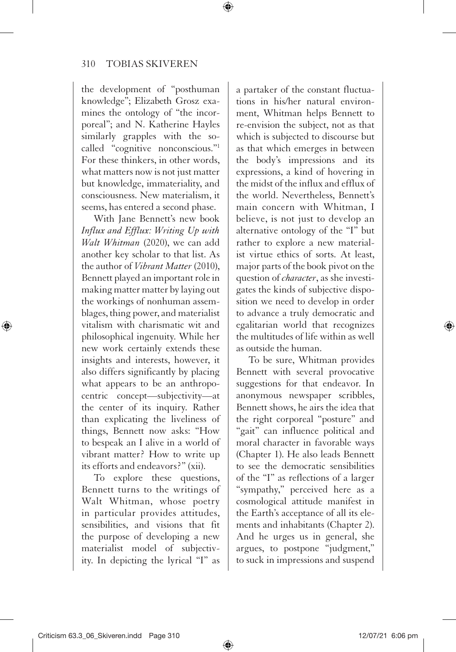the development of "posthuman knowledge"; Elizabeth Grosz examines the ontology of "the incorporeal"; and N. Katherine Hayles similarly grapples with the socalled "cognitive nonconscious."1 For these thinkers, in other words, what matters now is not just matter but knowledge, immateriality, and consciousness. New materialism, it seems, has entered a second phase.

With Jane Bennett's new book *Influx and Efflux: Writing Up with Walt Whitman* (2020), we can add another key scholar to that list. As the author of *Vibrant Matter* (2010), Bennett played an important role in making matter matter by laying out the workings of nonhuman assemblages, thing power, and materialist vitalism with charismatic wit and philosophical ingenuity. While her new work certainly extends these insights and interests, however, it also differs significantly by placing what appears to be an anthropocentric concept—subjectivity—at the center of its inquiry. Rather than explicating the liveliness of things, Bennett now asks: "How to bespeak an I alive in a world of vibrant matter? How to write up its efforts and endeavors?" (xii).

To explore these questions, Bennett turns to the writings of Walt Whitman, whose poetry in particular provides attitudes, sensibilities, and visions that fit the purpose of developing a new materialist model of subjectivity. In depicting the lyrical "I" as

a partaker of the constant fluctuations in his/her natural environment, Whitman helps Bennett to re-envision the subject, not as that which is subjected to discourse but as that which emerges in between the body's impressions and its expressions, a kind of hovering in the midst of the influx and efflux of the world. Nevertheless, Bennett's main concern with Whitman, I believe, is not just to develop an alternative ontology of the "I" but rather to explore a new materialist virtue ethics of sorts. At least, major parts of the book pivot on the question of *character*, as she investigates the kinds of subjective disposition we need to develop in order to advance a truly democratic and egalitarian world that recognizes the multitudes of life within as well as outside the human.

To be sure, Whitman provides Bennett with several provocative suggestions for that endeavor. In anonymous newspaper scribbles, Bennett shows, he airs the idea that the right corporeal "posture" and "gait" can influence political and moral character in favorable ways (Chapter 1). He also leads Bennett to see the democratic sensibilities of the "I" as reflections of a larger "sympathy," perceived here as a cosmological attitude manifest in the Earth's acceptance of all its elements and inhabitants (Chapter 2). And he urges us in general, she argues, to postpone "judgment," to suck in impressions and suspend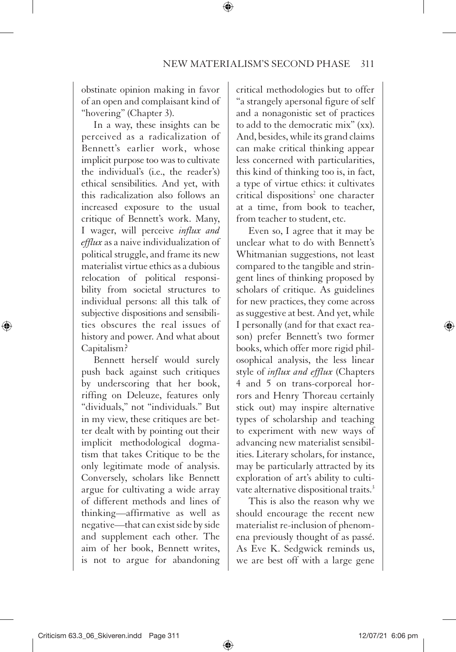obstinate opinion making in favor of an open and complaisant kind of "hovering" (Chapter 3).

In a way, these insights can be perceived as a radicalization of Bennett's earlier work, whose implicit purpose too was to cultivate the individual's (i.e., the reader's) ethical sensibilities. And yet, with this radicalization also follows an increased exposure to the usual critique of Bennett's work. Many, I wager, will perceive *influx and efflux* as a naive individualization of political struggle, and frame its new materialist virtue ethics as a dubious relocation of political responsibility from societal structures to individual persons: all this talk of subjective dispositions and sensibilities obscures the real issues of history and power. And what about Capitalism?

Bennett herself would surely push back against such critiques by underscoring that her book, riffing on Deleuze, features only "dividuals," not "individuals." But in my view, these critiques are better dealt with by pointing out their implicit methodological dogmatism that takes Critique to be the only legitimate mode of analysis. Conversely, scholars like Bennett argue for cultivating a wide array of different methods and lines of thinking—affirmative as well as negative—that can exist side by side and supplement each other. The aim of her book, Bennett writes, is not to argue for abandoning

critical methodologies but to offer "a strangely apersonal figure of self and a nonagonistic set of practices to add to the democratic mix" (xx). And, besides, while its grand claims can make critical thinking appear less concerned with particularities, this kind of thinking too is, in fact, a type of virtue ethics: it cultivates critical dispositions<sup>2</sup> one character at a time, from book to teacher, from teacher to student, etc.

Even so, I agree that it may be unclear what to do with Bennett's Whitmanian suggestions, not least compared to the tangible and stringent lines of thinking proposed by scholars of critique. As guidelines for new practices, they come across as suggestive at best. And yet, while I personally (and for that exact reason) prefer Bennett's two former books, which offer more rigid philosophical analysis, the less linear style of *influx and efflux* (Chapters 4 and 5 on trans-corporeal horrors and Henry Thoreau certainly stick out) may inspire alternative types of scholarship and teaching to experiment with new ways of advancing new materialist sensibilities. Literary scholars, for instance, may be particularly attracted by its exploration of art's ability to cultivate alternative dispositional traits.<sup>3</sup>

This is also the reason why we should encourage the recent new materialist re-inclusion of phenomena previously thought of as passé. As Eve K. Sedgwick reminds us, we are best off with a large gene